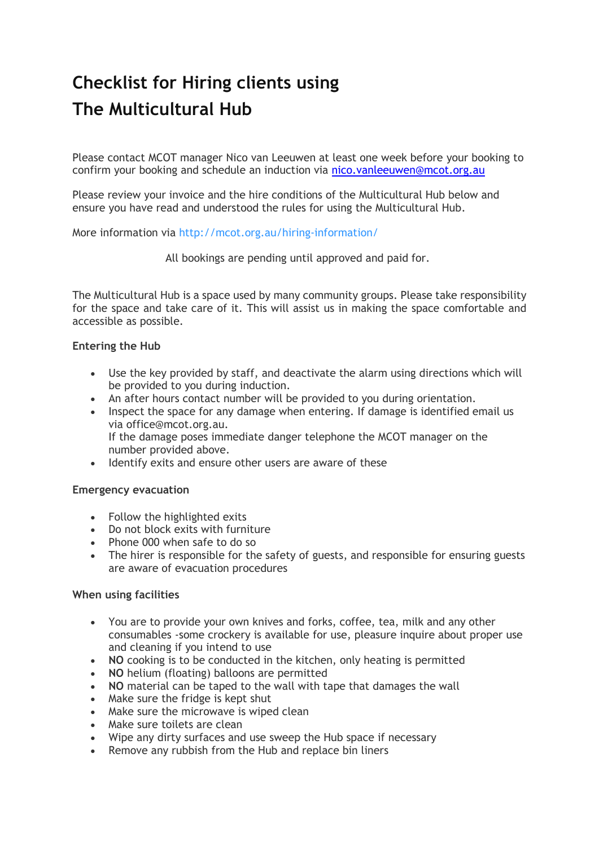# **Checklist for Hiring clients using The Multicultural Hub**

Please contact MCOT manager Nico van Leeuwen at least one week before your booking to confirm your booking and schedule an induction via [nico.vanleeuwen@mcot.org.au](mailto:nico.vanleeuwen@mcot.org.au)

Please review your invoice and the hire conditions of the Multicultural Hub below and ensure you have read and understood the rules for using the Multicultural Hub.

More information via <http://mcot.org.au/hiring-information/>

All bookings are pending until approved and paid for.

The Multicultural Hub is a space used by many community groups. Please take responsibility for the space and take care of it. This will assist us in making the space comfortable and accessible as possible.

#### **Entering the Hub**

- Use the key provided by staff, and deactivate the alarm using directions which will be provided to you during induction.
- An after hours contact number will be provided to you during orientation.
- Inspect the space for any damage when entering. If damage is identified email us via office@mcot.org.au. If the damage poses immediate danger telephone the MCOT manager on the
- number provided above. • Identify exits and ensure other users are aware of these

#### **Emergency evacuation**

- Follow the highlighted exits
- Do not block exits with furniture
- Phone 000 when safe to do so
- The hirer is responsible for the safety of guests, and responsible for ensuring guests are aware of evacuation procedures

#### **When using facilities**

- You are to provide your own knives and forks, coffee, tea, milk and any other consumables -some crockery is available for use, pleasure inquire about proper use and cleaning if you intend to use
- **NO** cooking is to be conducted in the kitchen, only heating is permitted
- **NO** helium (floating) balloons are permitted
- **NO** material can be taped to the wall with tape that damages the wall
- Make sure the fridge is kept shut
- Make sure the microwave is wiped clean
- Make sure toilets are clean
- Wipe any dirty surfaces and use sweep the Hub space if necessary
- Remove any rubbish from the Hub and replace bin liners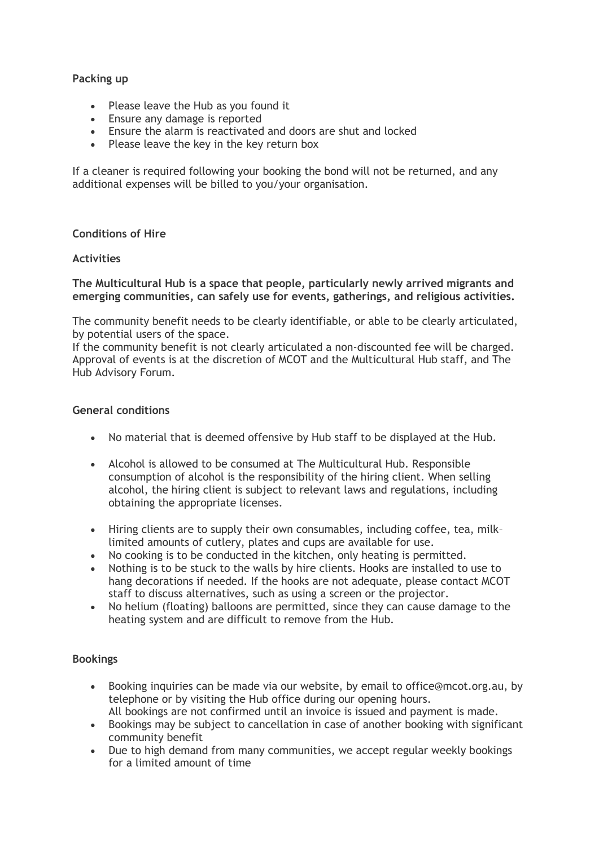#### **Packing up**

- Please leave the Hub as you found it
- Ensure any damage is reported
- Ensure the alarm is reactivated and doors are shut and locked
- Please leave the key in the key return box

If a cleaner is required following your booking the bond will not be returned, and any additional expenses will be billed to you/your organisation.

#### **Conditions of Hire**

#### **Activities**

**The Multicultural Hub is a space that people, particularly newly arrived migrants and emerging communities, can safely use for events, gatherings, and religious activities.**

The community benefit needs to be clearly identifiable, or able to be clearly articulated, by potential users of the space.

If the community benefit is not clearly articulated a non-discounted fee will be charged. Approval of events is at the discretion of MCOT and the Multicultural Hub staff, and The Hub Advisory Forum.

#### **General conditions**

- No material that is deemed offensive by Hub staff to be displayed at the Hub.
- Alcohol is allowed to be consumed at The Multicultural Hub. Responsible consumption of alcohol is the responsibility of the hiring client. When selling alcohol, the hiring client is subject to relevant laws and regulations, including obtaining the appropriate licenses.
- Hiring clients are to supply their own consumables, including coffee, tea, milk– limited amounts of cutlery, plates and cups are available for use.
- No cooking is to be conducted in the kitchen, only heating is permitted.
- Nothing is to be stuck to the walls by hire clients. Hooks are installed to use to hang decorations if needed. If the hooks are not adequate, please contact MCOT staff to discuss alternatives, such as using a screen or the projector.
- No helium (floating) balloons are permitted, since they can cause damage to the heating system and are difficult to remove from the Hub.

#### **Bookings**

- Booking inquiries can be made via our website, by email to office@mcot.org.au, by telephone or by visiting the Hub office during our opening hours. All bookings are not confirmed until an invoice is issued and payment is made.
- Bookings may be subject to cancellation in case of another booking with significant community benefit
- Due to high demand from many communities, we accept regular weekly bookings for a limited amount of time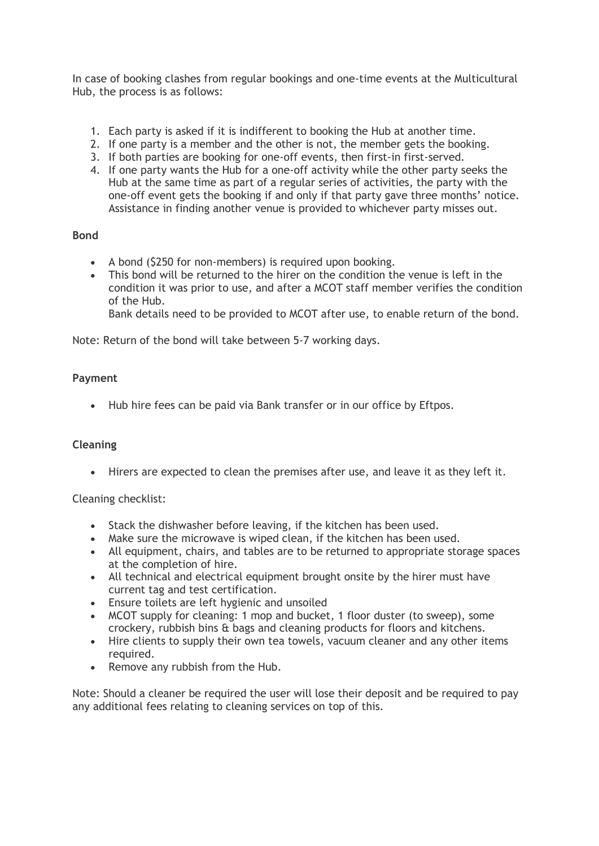In case of booking clashes from regular bookings and one-time events at the Multicultural Hub, the process is as follows:

- 1. Each party is asked if it is indifferent to booking the Hub at another time.
- 2. If one party is a member and the other is not, the member gets the booking.
- 3. If both parties are booking for one-off events, then first-in first-served.
- 4. If one party wants the Hub for a one-off activity while the other party seeks the Hub at the same time as part of a regular series of activities, the party with the one-off event gets the booking if and only if that party gave three months' notice. Assistance in finding another venue is provided to whichever party misses out.

## **Bond**

- A bond (\$250 for non-members) is required upon booking.
- This bond will be returned to the hirer on the condition the venue is left in the condition it was prior to use, and after a MCOT staff member verifies the condition of the Hub.

Bank details need to be provided to MCOT after use, to enable return of the bond.

Note: Return of the bond will take between 5-7 working days.

## **Payment**

• Hub hire fees can be paid via Bank transfer or in our office by Eftpos.

#### **Cleaning**

• Hirers are expected to clean the premises after use, and leave it as they left it.

#### Cleaning checklist:

- Stack the dishwasher before leaving, if the kitchen has been used.
- Make sure the microwave is wiped clean, if the kitchen has been used.
- All equipment, chairs, and tables are to be returned to appropriate storage spaces at the completion of hire.
- All technical and electrical equipment brought onsite by the hirer must have current tag and test certification.
- Ensure toilets are left hygienic and unsoiled
- MCOT supply for cleaning: 1 mop and bucket, 1 floor duster (to sweep), some crockery, rubbish bins & bags and cleaning products for floors and kitchens.
- Hire clients to supply their own tea towels, vacuum cleaner and any other items required.
- Remove any rubbish from the Hub.

Note: Should a cleaner be required the user will lose their deposit and be required to pay any additional fees relating to cleaning services on top of this.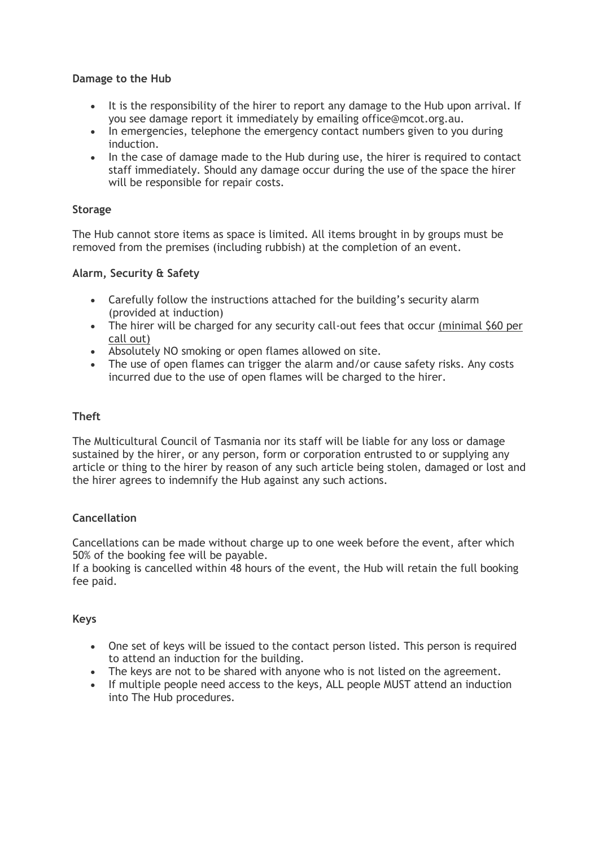## **Damage to the Hub**

- It is the responsibility of the hirer to report any damage to the Hub upon arrival. If you see damage report it immediately by emailing office@mcot.org.au.
- In emergencies, telephone the emergency contact numbers given to you during induction.
- In the case of damage made to the Hub during use, the hirer is required to contact staff immediately. Should any damage occur during the use of the space the hirer will be responsible for repair costs.

## **Storage**

The Hub cannot store items as space is limited. All items brought in by groups must be removed from the premises (including rubbish) at the completion of an event.

## **Alarm, Security & Safety**

- Carefully follow the instructions attached for the building's security alarm (provided at induction)
- The hirer will be charged for any security call-out fees that occur (minimal \$60 per call out)
- Absolutely NO smoking or open flames allowed on site.
- The use of open flames can trigger the alarm and/or cause safety risks. Any costs incurred due to the use of open flames will be charged to the hirer.

## **Theft**

The Multicultural Council of Tasmania nor its staff will be liable for any loss or damage sustained by the hirer, or any person, form or corporation entrusted to or supplying any article or thing to the hirer by reason of any such article being stolen, damaged or lost and the hirer agrees to indemnify the Hub against any such actions.

# **Cancellation**

Cancellations can be made without charge up to one week before the event, after which 50% of the booking fee will be payable.

If a booking is cancelled within 48 hours of the event, the Hub will retain the full booking fee paid.

#### **Keys**

- One set of keys will be issued to the contact person listed. This person is required to attend an induction for the building.
- The keys are not to be shared with anyone who is not listed on the agreement.
- If multiple people need access to the keys, ALL people MUST attend an induction into The Hub procedures.